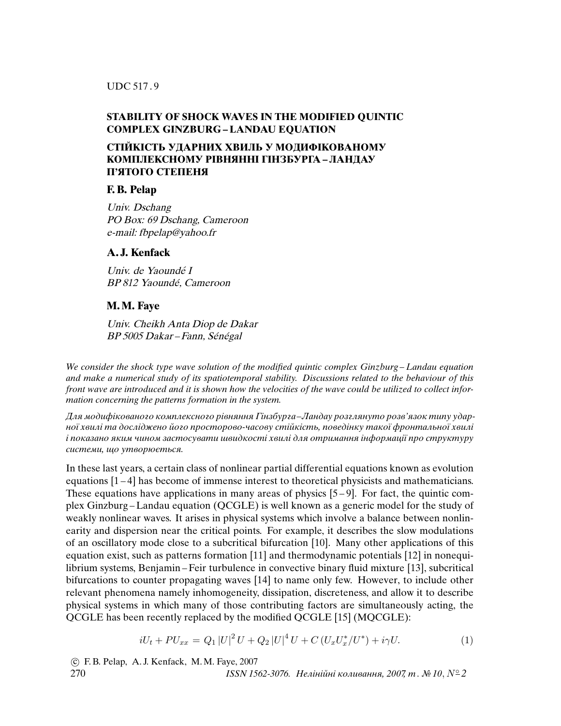UDC 517 . 9

# **STABILITY OF SHOCK WAVES IN THE MODIFIED QUINTIC COMPLEX GINZBURG – LANDAU EQUATION**

# **СТIЙКIСТЬ УДАРНИХ ХВИЛЬ У МОДИФIКОВАНОМУ КОМПЛЕКСНОМУ РIВНЯННI ГIНЗБУРГА – ЛАНДАУ П'ЯТОГО СТЕПЕНЯ**

### **F. B. Pelap**

Univ. Dschang PO Box: 69 Dschang, Cameroon e-mail: fbpelap@yahoo.fr

### **A. J. Kenfack**

Univ. de Yaoundé I BP 812 Yaoundé, Cameroon

# **M. M. Faye**

Univ. Cheikh Anta Diop de Dakar BP 5005 Dakar – Fann, Sénégal

*We consider the shock type wave solution of the modified quintic complex Ginzburg – Landau equation and make a numerical study of its spatiotemporal stability. Discussions related to the behaviour of this front wave are introduced and it is shown how the velocities of the wave could be utilized to collect information concerning the patterns formation in the system.*

Для модифiкованого комплексного рiвняння Гiнзбурга*–*Ландау розглянуто розв'язок типу ударної хвилi та дослiджено його просторово-часову стiйкiсть, поведiнку такої фронтальної хвилi i показано яким чином застосувати швидкостi хвилi для отримання iнформацiї про структуру системи, що утворюється.

In these last years, a certain class of nonlinear partial differential equations known as evolution equations [1 – 4] has become of immense interest to theoretical physicists and mathematicians. These equations have applications in many areas of physics  $[5-9]$ . For fact, the quintic complex Ginzburg – Landau equation (QCGLE) is well known as a generic model for the study of weakly nonlinear waves. It arises in physical systems which involve a balance between nonlinearity and dispersion near the critical points. For example, it describes the slow modulations of an oscillatory mode close to a subcritical bifurcation [10]. Many other applications of this equation exist, such as patterns formation [11] and thermodynamic potentials [12] in nonequilibrium systems, Benjamin – Feir turbulence in convective binary fluid mixture [13], subcritical bifurcations to counter propagating waves [14] to name only few. However, to include other relevant phenomena namely inhomogeneity, dissipation, discreteness, and allow it to describe physical systems in which many of those contributing factors are simultaneously acting, the QCGLE has been recently replaced by the modified QCGLE [15] (MQCGLE):

$$
iU_t + PU_{xx} = Q_1 |U|^2 U + Q_2 |U|^4 U + C (U_x U_x^* / U^*) + i\gamma U.
$$
 (1)

 c F. B. Pelap, A. J. Kenfack, M. M. Faye, 2007 270 *ISSN 1562-3076.* Нелiнiйнi коливання, 2007, т . № 10, N◦ *2*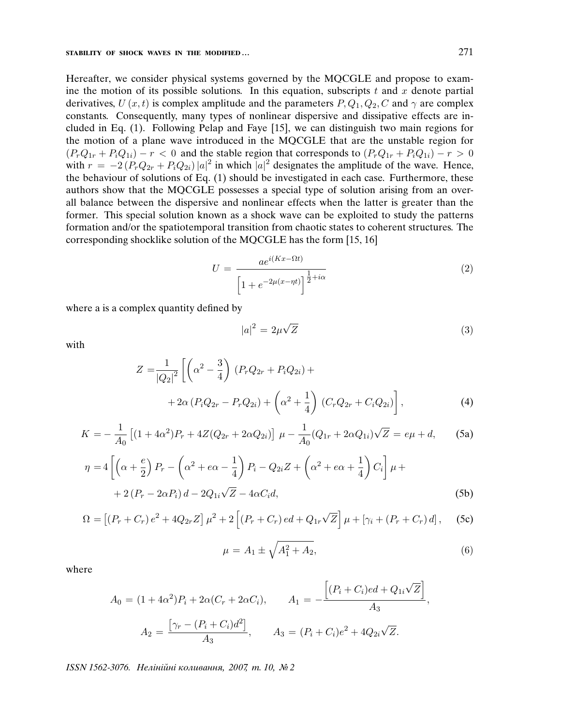#### **STABILITY OF SHOCK WAVES IN THE MODIFIED ...** 271

Hereafter, we consider physical systems governed by the MQCGLE and propose to examine the motion of its possible solutions. In this equation, subscripts  $t$  and  $x$  denote partial derivatives,  $U(x, t)$  is complex amplitude and the parameters  $P, Q_1, Q_2, C$  and  $\gamma$  are complex constants. Consequently, many types of nonlinear dispersive and dissipative effects are included in Eq. (1). Following Pelap and Faye [15], we can distinguish two main regions for the motion of a plane wave introduced in the MQCGLE that are the unstable region for  $(P_rQ_{1r} + P_iQ_{1i}) - r < 0$  and the stable region that corresponds to  $(P_rQ_{1r} + P_iQ_{1i}) - r > 0$ with  $r = -2(P_rQ_{2r} + P_iQ_{2i})|a|^2$  in which  $|a|^2$  designates the amplitude of the wave. Hence, the behaviour of solutions of Eq. (1) should be investigated in each case. Furthermore, these authors show that the MQCGLE possesses a special type of solution arising from an overall balance between the dispersive and nonlinear effects when the latter is greater than the former. This special solution known as a shock wave can be exploited to study the patterns formation and/or the spatiotemporal transition from chaotic states to coherent structures. The corresponding shocklike solution of the MQCGLE has the form [15, 16]

$$
U = \frac{ae^{i(Kx - \Omega t)}}{\left[1 + e^{-2\mu(x - \eta t)}\right]^{\frac{1}{2} + i\alpha}}
$$
\n(2)

where a is a complex quantity defined by

$$
|a|^2 = 2\mu\sqrt{Z} \tag{3}
$$

with

$$
Z = \frac{1}{|Q_2|^2} \left[ \left( \alpha^2 - \frac{3}{4} \right) (P_r Q_{2r} + P_i Q_{2i}) + \right. \\
\left. + 2\alpha (P_i Q_{2r} - P_r Q_{2i}) + \left( \alpha^2 + \frac{1}{4} \right) (C_r Q_{2r} + C_i Q_{2i}) \right],
$$
\n(4)

$$
K = -\frac{1}{A_0} \left[ (1 + 4\alpha^2) P_r + 4Z(Q_{2r} + 2\alpha Q_{2i}) \right] \mu - \frac{1}{A_0} (Q_{1r} + 2\alpha Q_{1i}) \sqrt{Z} = e\mu + d,\tag{5a}
$$

$$
\eta = 4\left[\left(\alpha + \frac{e}{2}\right)P_r - \left(\alpha^2 + e\alpha - \frac{1}{4}\right)P_i - Q_{2i}Z + \left(\alpha^2 + e\alpha + \frac{1}{4}\right)C_i\right]\mu +
$$
  
+ 2\left(P\_r - 2\alpha P\_i\right)d - 2Q\_{1i}\sqrt{Z} - 4\alpha C\_i d, (5b)

$$
\Omega = \left[ (P_r + C_r) e^2 + 4Q_{2r} Z \right] \mu^2 + 2 \left[ (P_r + C_r) e d + Q_{1r} \sqrt{Z} \right] \mu + \left[ \gamma_i + (P_r + C_r) d \right], \quad \text{(5c)}
$$

$$
\mu = A_1 \pm \sqrt{A_1^2 + A_2},\tag{6}
$$

where

$$
A_0 = (1 + 4\alpha^2)P_i + 2\alpha(C_r + 2\alpha C_i), \qquad A_1 = -\frac{\left[ (P_i + C_i)e^{d} + Q_{1i}\sqrt{Z} \right]}{A_3},
$$

$$
A_2 = \frac{\left[ \gamma_r - (P_i + C_i)d^2 \right]}{A_3}, \qquad A_3 = (P_i + C_i)e^{2} + 4Q_{2i}\sqrt{Z}.
$$

*ISSN 1562-3076.* Нелiнiйнi коливання, 2007, т. 10, № 2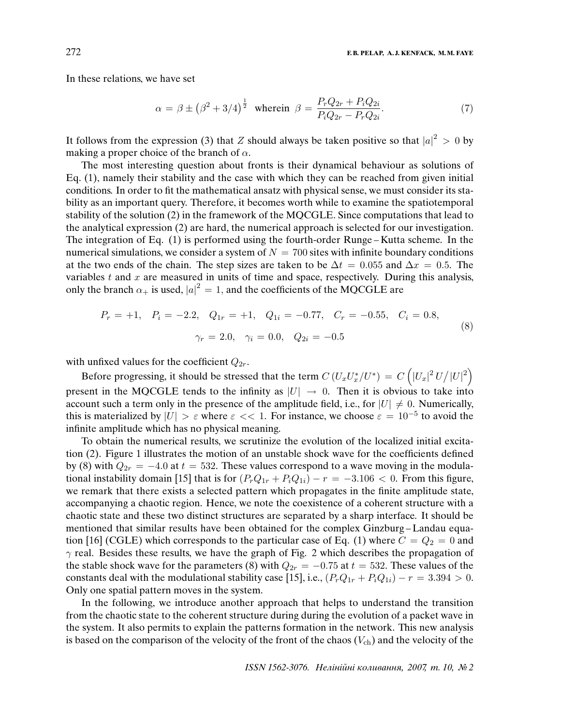In these relations, we have set

$$
\alpha = \beta \pm (\beta^2 + 3/4)^{\frac{1}{2}} \text{ where in } \beta = \frac{P_r Q_{2r} + P_i Q_{2i}}{P_i Q_{2r} - P_r Q_{2i}}.
$$
 (7)

It follows from the expression (3) that Z should always be taken positive so that  $|a|^2 > 0$  by making a proper choice of the branch of  $\alpha$ .

The most interesting question about fronts is their dynamical behaviour as solutions of Eq. (1), namely their stability and the case with which they can be reached from given initial conditions. In order to fit the mathematical ansatz with physical sense, we must consider its stability as an important query. Therefore, it becomes worth while to examine the spatiotemporal stability of the solution (2) in the framework of the MQCGLE. Since computations that lead to the analytical expression (2) are hard, the numerical approach is selected for our investigation. The integration of Eq. (1) is performed using the fourth-order Runge – Kutta scheme. In the numerical simulations, we consider a system of  $N = 700$  sites with infinite boundary conditions at the two ends of the chain. The step sizes are taken to be  $\Delta t = 0.055$  and  $\Delta x = 0.5$ . The variables  $t$  and  $x$  are measured in units of time and space, respectively. During this analysis, only the branch  $\alpha_+$  is used,  $|a|^2 = 1$ , and the coefficients of the MQCGLE are

$$
P_r = +1, \quad P_i = -2.2, \quad Q_{1r} = +1, \quad Q_{1i} = -0.77, \quad C_r = -0.55, \quad C_i = 0.8,
$$

$$
\gamma_r = 2.0, \quad \gamma_i = 0.0, \quad Q_{2i} = -0.5
$$
(8)

with unfixed values for the coefficient  $Q_{2r}$ .

Before progressing, it should be stressed that the term  $C \left( U_x U_x^* / U^* \right) \, = \, C \left( \vert U_x \vert^2 \, U / {\vert U \vert}^2 \right)$ present in the MQCGLE tends to the infinity as  $|U| \rightarrow 0$ . Then it is obvious to take into account such a term only in the presence of the amplitude field, i.e., for  $|U| \neq 0$ . Numerically, this is materialized by  $|U| > \varepsilon$  where  $\varepsilon < 1$ . For instance, we choose  $\varepsilon = 10^{-5}$  to avoid the infinite amplitude which has no physical meaning.

To obtain the numerical results, we scrutinize the evolution of the localized initial excitation (2). Figure 1 illustrates the motion of an unstable shock wave for the coefficients defined by (8) with  $Q_{2r} = -4.0$  at  $t = 532$ . These values correspond to a wave moving in the modulational instability domain [15] that is for  $(P_rQ_{1r} + P_iQ_{1i}) - r = -3.106 < 0$ . From this figure, we remark that there exists a selected pattern which propagates in the finite amplitude state, accompanying a chaotic region. Hence, we note the coexistence of a coherent structure with a chaotic state and these two distinct structures are separated by a sharp interface. It should be mentioned that similar results have been obtained for the complex Ginzburg – Landau equation [16] (CGLE) which corresponds to the particular case of Eq. (1) where  $C = Q_2 = 0$  and  $\gamma$  real. Besides these results, we have the graph of Fig. 2 which describes the propagation of the stable shock wave for the parameters (8) with  $Q_{2r} = -0.75$  at  $t = 532$ . These values of the constants deal with the modulational stability case [15], i.e.,  $(P_rQ_{1r} + P_iQ_{1i}) - r = 3.394 > 0.$ Only one spatial pattern moves in the system.

In the following, we introduce another approach that helps to understand the transition from the chaotic state to the coherent structure during during the evolution of a packet wave in the system. It also permits to explain the patterns formation in the network. This new analysis is based on the comparison of the velocity of the front of the chaos  $(V_{ch})$  and the velocity of the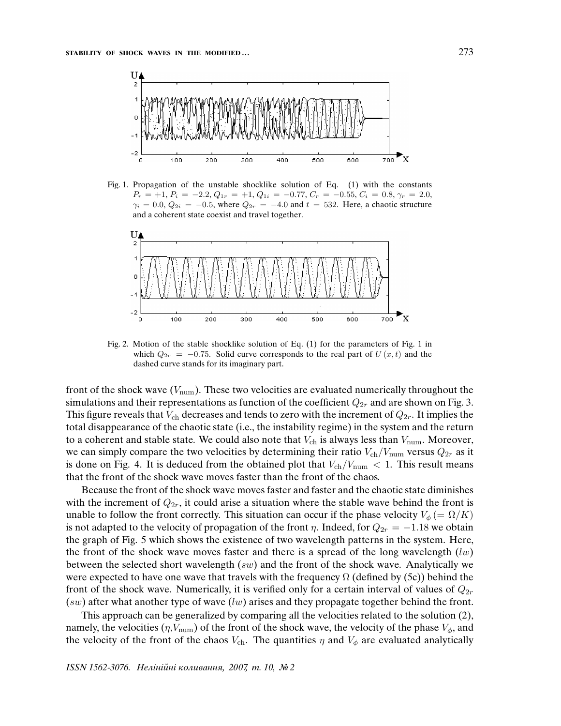

Fig. 1. Propagation of the unstable shocklike solution of Eq. (1) with the constants  $P_r = +1, P_i = -2.2, Q_{1r} = +1, Q_{1i} = -0.77, C_r = -0.55, C_i = 0.8, \gamma_r = 2.0,$  $\gamma_i = 0.0, Q_{2i} = -0.5$ , where  $Q_{2r} = -4.0$  and  $t = 532$ . Here, a chaotic structure and a coherent state coexist and travel together.



Fig. 2. Motion of the stable shocklike solution of Eq. (1) for the parameters of Fig. 1 in which  $Q_{2r} = -0.75$ . Solid curve corresponds to the real part of  $U(x, t)$  and the dashed curve stands for its imaginary part.

front of the shock wave  $(V_{\text{num}})$ . These two velocities are evaluated numerically throughout the simulations and their representations as function of the coefficient  $Q_{2r}$  and are shown on Fig. 3. This figure reveals that  $V_{ch}$  decreases and tends to zero with the increment of  $Q_{2r}$ . It implies the total disappearance of the chaotic state (i.e., the instability regime) in the system and the return to a coherent and stable state. We could also note that  $V_{ch}$  is always less than  $V_{num}$ . Moreover, we can simply compare the two velocities by determining their ratio  $V_{ch}/V_{num}$  versus  $Q_{2r}$  as it is done on Fig. 4. It is deduced from the obtained plot that  $V_{ch}/V_{num} < 1$ . This result means that the front of the shock wave moves faster than the front of the chaos.

Because the front of the shock wave moves faster and faster and the chaotic state diminishes with the increment of  $Q_{2r}$ , it could arise a situation where the stable wave behind the front is unable to follow the front correctly. This situation can occur if the phase velocity  $V_{\phi}$  (=  $\Omega/K$ ) is not adapted to the velocity of propagation of the front  $\eta$ . Indeed, for  $Q_{2r} = -1.18$  we obtain the graph of Fig. 5 which shows the existence of two wavelength patterns in the system. Here, the front of the shock wave moves faster and there is a spread of the long wavelength  $(lw)$ between the selected short wavelength  $(sw)$  and the front of the shock wave. Analytically we were expected to have one wave that travels with the frequency  $\Omega$  (defined by (5c)) behind the front of the shock wave. Numerically, it is verified only for a certain interval of values of  $Q_{2r}$  $(sw)$  after what another type of wave  $(lw)$  arises and they propagate together behind the front.

This approach can be generalized by comparing all the velocities related to the solution (2), namely, the velocities  $(\eta, V_{\text{num}})$  of the front of the shock wave, the velocity of the phase  $V_{\phi}$ , and the velocity of the front of the chaos  $V_{ch}$ . The quantities  $\eta$  and  $V_{\phi}$  are evaluated analytically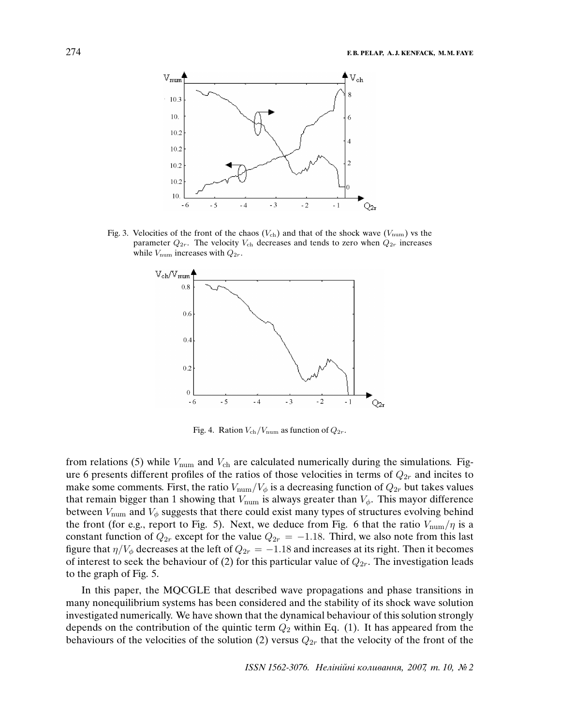

Fig. 3. Velocities of the front of the chaos ( $V_{ch}$ ) and that of the shock wave ( $V_{\text{num}}$ ) vs the parameter  $Q_{2r}$ . The velocity  $V_{ch}$  decreases and tends to zero when  $Q_{2r}$  increases while  $V_{\text{num}}$  increases with  $Q_{2r}$ .



Fig. 4. Ration  $V_{\text{ch}}/V_{\text{num}}$  as function of  $Q_{2r}$ .

from relations (5) while  $V_{\text{num}}$  and  $V_{\text{ch}}$  are calculated numerically during the simulations. Figure 6 presents different profiles of the ratios of those velocities in terms of  $Q_{2r}$  and incites to make some comments. First, the ratio  $V_{\text{num}}/V_{\phi}$  is a decreasing function of  $Q_{2r}$  but takes values that remain bigger than 1 showing that  $V_{\text{num}}$  is always greater than  $V_{\phi}$ . This mayor difference between  $V_{\text{num}}$  and  $V_{\phi}$  suggests that there could exist many types of structures evolving behind the front (for e.g., report to Fig. 5). Next, we deduce from Fig. 6 that the ratio  $V_{\text{num}}/\eta$  is a constant function of  $Q_{2r}$  except for the value  $Q_{2r} = -1.18$ . Third, we also note from this last figure that  $\eta/V_{\phi}$  decreases at the left of  $Q_{2r} = -1.18$  and increases at its right. Then it becomes of interest to seek the behaviour of (2) for this particular value of  $Q_{2r}$ . The investigation leads to the graph of Fig. 5.

In this paper, the MQCGLE that described wave propagations and phase transitions in many nonequilibrium systems has been considered and the stability of its shock wave solution investigated numerically. We have shown that the dynamical behaviour of this solution strongly depends on the contribution of the quintic term  $Q_2$  within Eq. (1). It has appeared from the behaviours of the velocities of the solution (2) versus  $Q_{2r}$  that the velocity of the front of the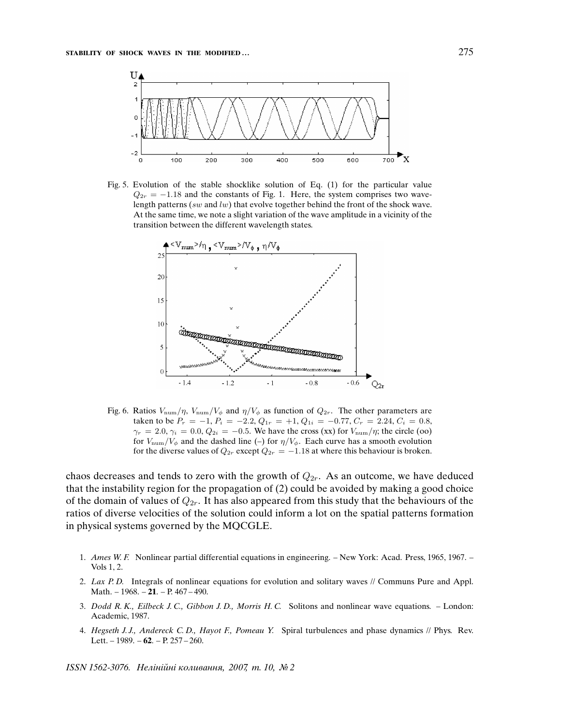

Fig. 5. Evolution of the stable shocklike solution of Eq. (1) for the particular value  $Q_{2r} = -1.18$  and the constants of Fig. 1. Here, the system comprises two wavelength patterns (sw and lw) that evolve together behind the front of the shock wave. At the same time, we note a slight variation of the wave amplitude in a vicinity of the transition between the different wavelength states.



Fig. 6. Ratios  $V_{\text{num}}/\eta$ ,  $V_{\text{num}}/V_{\phi}$  and  $\eta/V_{\phi}$  as function of  $Q_{2r}$ . The other parameters are taken to be  $P_r = -1$ ,  $P_i = -2.2$ ,  $Q_{1r} = +1$ ,  $Q_{1i} = -0.77$ ,  $C_r = 2.24$ ,  $C_i = 0.8$ ,  $\gamma_r = 2.0, \gamma_i = 0.0, Q_{2i} = -0.5$ . We have the cross (xx) for  $V_{\text{num}}/\eta$ ; the circle (00) for  $V_{\text{num}}/V_{\phi}$  and the dashed line (–) for  $\eta/V_{\phi}$ . Each curve has a smooth evolution for the diverse values of  $Q_{2r}$  except  $Q_{2r} = -1.18$  at where this behaviour is broken.

chaos decreases and tends to zero with the growth of  $Q_{2r}$ . As an outcome, we have deduced that the instability region for the propagation of (2) could be avoided by making a good choice of the domain of values of  $Q_{2r}$ . It has also appeared from this study that the behaviours of the ratios of diverse velocities of the solution could inform a lot on the spatial patterns formation in physical systems governed by the MQCGLE.

- 1. *Ames W. F.* Nonlinear partial differential equations in engineering. New York: Acad. Press, 1965, 1967. Vols 1, 2.
- 2. *Lax P. D.* Integrals of nonlinear equations for evolution and solitary waves // Communs Pure and Appl. Math. – 1968. – **21**. – P. 467 – 490.
- 3. *Dodd R. K., Eilbeck J. C., Gibbon J. D., Morris H. C.* Solitons and nonlinear wave equations. London: Academic, 1987.
- 4. *Hegseth J. J., Andereck C. D., Hayot F., Pomeau Y.* Spiral turbulences and phase dynamics // Phys. Rev. Lett. – 1989. – **62**. – P. 257 – 260.

*ISSN 1562-3076.* Нелiнiйнi коливання, 2007, т. 10, № 2